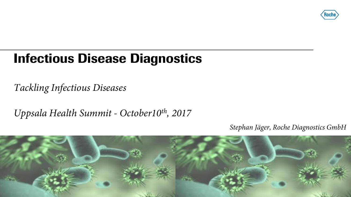

## **Infectious Disease Diagnostics**

*Tackling Infectious Diseases* 

*Uppsala Health Summit - October10th, 2017*

*Stephan Jäger, Roche Diagnostics GmbH*

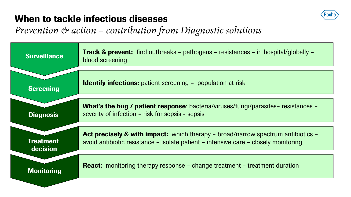## **When to tackle infectious diseases**



## *Prevention & action – contribution from Diagnostic solutions*

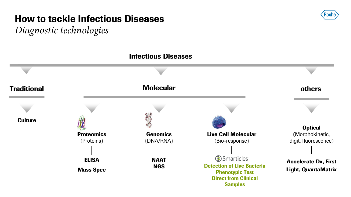## **How to tackle Infectious Diseases**

*Diagnostic technologies*



Koch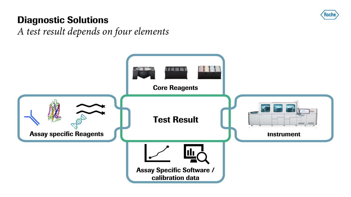

## **Diagnostic Solutions**

*A test result depends on four elements*

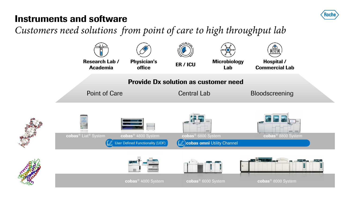

## **Instruments and software**

*Customers need solutions from point of care to high throughput lab*

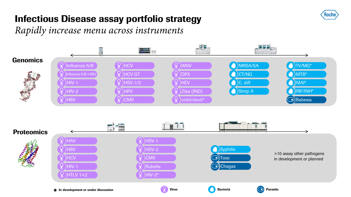

## **Infectious Disease assay portfolio strategy**

*Rapidly increase menu across instruments*

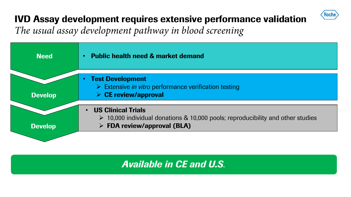## **IVD Assay development requires extensive performance validation**

**Roche** 

*The usual assay development pathway in blood screening*

| <b>Need</b>    | <b>Public health need &amp; market demand</b><br>$\bullet$                                                                                                                   |  |  |
|----------------|------------------------------------------------------------------------------------------------------------------------------------------------------------------------------|--|--|
| <b>Develop</b> | <b>Test Development</b><br>$\triangleright$ Extensive <i>in vitro</i> performance verification testing<br>$\triangleright$ CE review/approval                                |  |  |
| <b>Develop</b> | <b>US Clinical Trials</b><br>$\bullet$<br>$\geq$ 10,000 individual donations & 10,000 pools; reproducibility and other studies<br>$\triangleright$ FDA review/approval (BLA) |  |  |

*Available in CE and U.S.*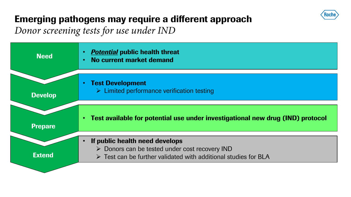

## **Emerging pathogens may require a different approach**

*Donor screening tests for use under IND*

| <b>Need</b>    | <b>Potential public health threat</b><br>No current market demand                                                                                                                 |
|----------------|-----------------------------------------------------------------------------------------------------------------------------------------------------------------------------------|
| <b>Develop</b> | <b>Test Development</b><br>$\triangleright$ Limited performance verification testing                                                                                              |
| <b>Prepare</b> | Test available for potential use under investigational new drug (IND) protocol                                                                                                    |
| <b>Extend</b>  | If public health need develops<br>$\triangleright$ Donors can be tested under cost recovery IND<br>$\triangleright$ Test can be further validated with additional studies for BLA |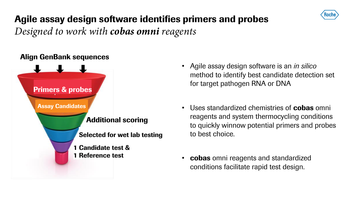

## **Agile assay design software identifies primers and probes**

*Designed to work with cobas omni reagents*

### **Align GenBank sequences**



- Agile assay design software is an *in silico* method to identify best candidate detection set for target pathogen RNA or DNA
- Uses standardized chemistries of **cobas** omni reagents and system thermocycling conditions to quickly winnow potential primers and probes to best choice.
- **cobas** omni reagents and standardized conditions facilitate rapid test design.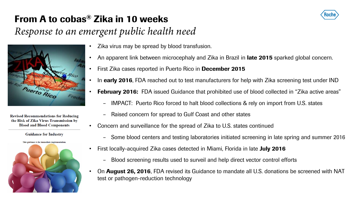## **From A to cobas® Zika in 10 weeks**

## *Response to an emergent public health need*



**Revised Recommendations for Reducing** the Risk of Zika Virus Transmission by **Blood and Blood Components** 

**Guidance for Industry** 



- Zika virus may be spread by blood transfusion.
- An apparent link between microcephaly and Zika in Brazil in **late 2015** sparked global concern.
- First Zika cases reported in Puerto Rico in **December 2015**
- In **early 2016**, FDA reached out to test manufacturers for help with Zika screening test under IND
- **February 2016:** FDA issued Guidance that prohibited use of blood collected in "Zika active areas"
	- IMPACT: Puerto Rico forced to halt blood collections & rely on import from U.S. states
	- Raised concern for spread to Gulf Coast and other states
- Concern and surveillance for the spread of Zika to U.S. states continued
	- Some blood centers and testing laboratories initiated screening in late spring and summer 2016
- First locally-acquired Zika cases detected in Miami, Florida in late **July 2016**
	- Blood screening results used to surveil and help direct vector control efforts
- On **August 26, 2016**, FDA revised its Guidance to mandate all U.S. donations be screened with NAT test or pathogen-reduction technology

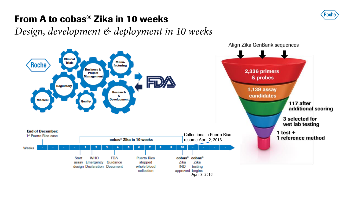

## **From A to cobas® Zika in 10 weeks**

*Design, development & deployment in 10 weeks*

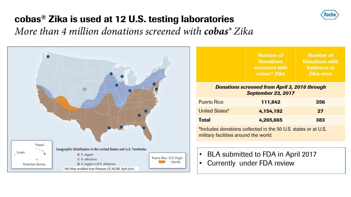## **cobas® Zika is used at 12 U.S. testing laboratories**

*More than 4 million donations screened with cobas® Zika*



|                                                                                   | <b>Number of</b><br><b>Donations</b><br>screened with<br>cobas <sup>®</sup> Zika | <b>Number of</b><br><b>Donations with</b><br><b>Evidence of</b><br><b>Zika virus</b> |  |  |  |
|-----------------------------------------------------------------------------------|----------------------------------------------------------------------------------|--------------------------------------------------------------------------------------|--|--|--|
| <b>Donations screened from April 3, 2016 through</b><br><b>September 23, 2017</b> |                                                                                  |                                                                                      |  |  |  |
| <b>Puerto Rico</b>                                                                | 111,842                                                                          | 356                                                                                  |  |  |  |
| <b>United States*</b>                                                             | 4,154,192                                                                        | 27                                                                                   |  |  |  |
| Total                                                                             | 4,265,665                                                                        | 383                                                                                  |  |  |  |
|                                                                                   |                                                                                  |                                                                                      |  |  |  |

\*Includes donations collected in the 50 U.S. states or at U.S. military facilities around the world.

- BLA submitted to FDA in April 2017
- Currently under FDA review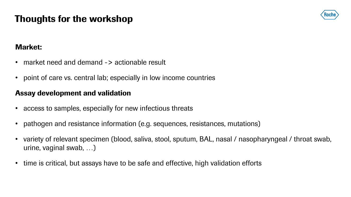## **Thoughts for the workshop**



#### **Market:**

- market need and demand -> actionable result
- point of care vs. central lab; especially in low income countries

#### **Assay development and validation**

- access to samples, especially for new infectious threats
- pathogen and resistance information (e.g. sequences, resistances, mutations)
- variety of relevant specimen (blood, saliva, stool, sputum, BAL, nasal / nasopharyngeal / throat swab, urine, vaginal swab, …)
- time is critical, but assays have to be safe and effective, high validation efforts